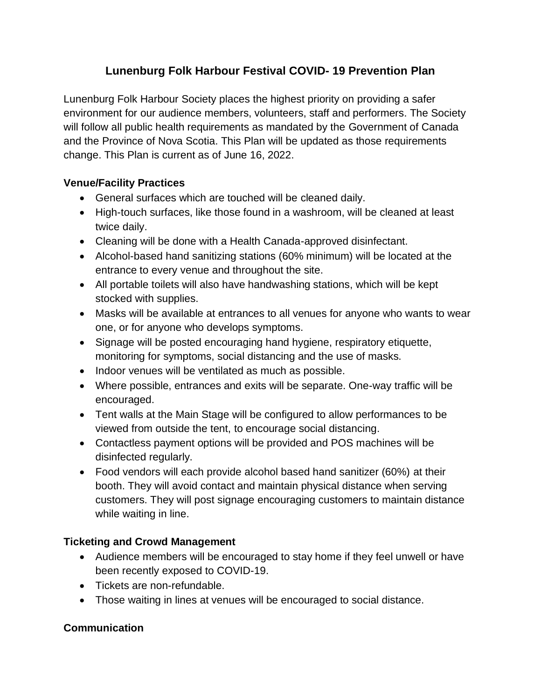# **Lunenburg Folk Harbour Festival COVID- 19 Prevention Plan**

Lunenburg Folk Harbour Society places the highest priority on providing a safer environment for our audience members, volunteers, staff and performers. The Society will follow all public health requirements as mandated by the Government of Canada and the Province of Nova Scotia. This Plan will be updated as those requirements change. This Plan is current as of June 16, 2022.

### **Venue/Facility Practices**

- General surfaces which are touched will be cleaned daily.
- High-touch surfaces, like those found in a washroom, will be cleaned at least twice daily.
- Cleaning will be done with a Health Canada-approved disinfectant.
- Alcohol-based hand sanitizing stations (60% minimum) will be located at the entrance to every venue and throughout the site.
- All portable toilets will also have handwashing stations, which will be kept stocked with supplies.
- Masks will be available at entrances to all venues for anyone who wants to wear one, or for anyone who develops symptoms.
- Signage will be posted encouraging hand hygiene, respiratory etiquette, monitoring for symptoms, social distancing and the use of masks.
- Indoor venues will be ventilated as much as possible.
- Where possible, entrances and exits will be separate. One-way traffic will be encouraged.
- Tent walls at the Main Stage will be configured to allow performances to be viewed from outside the tent, to encourage social distancing.
- Contactless payment options will be provided and POS machines will be disinfected regularly.
- Food vendors will each provide alcohol based hand sanitizer (60%) at their booth. They will avoid contact and maintain physical distance when serving customers. They will post signage encouraging customers to maintain distance while waiting in line.

#### **Ticketing and Crowd Management**

- Audience members will be encouraged to stay home if they feel unwell or have been recently exposed to COVID-19.
- Tickets are non-refundable.
- Those waiting in lines at venues will be encouraged to social distance.

## **Communication**